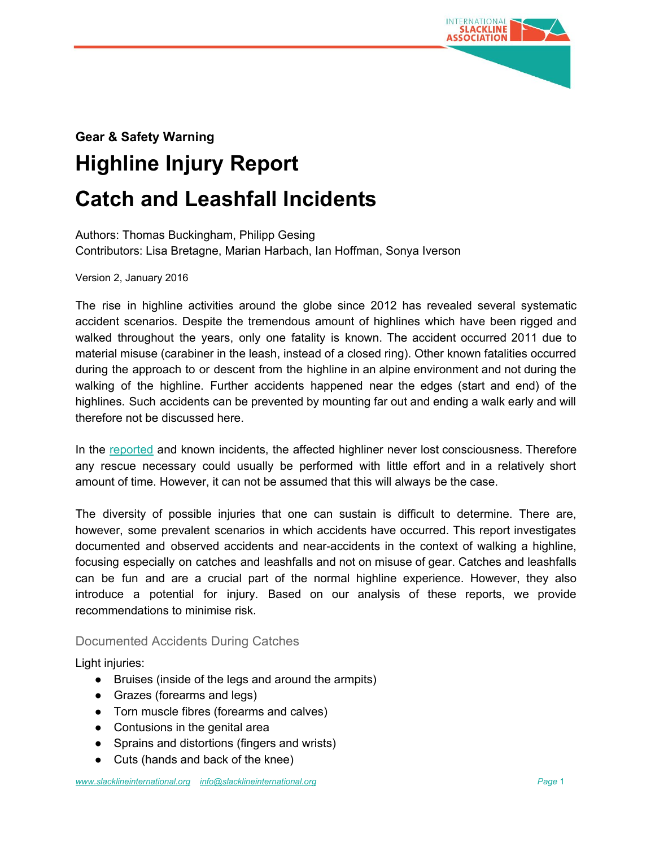

# **Gear & Safety Warning Highline Injury Report Catch and Leashfall Incidents**

Authors: Thomas Buckingham, Philipp Gesing Contributors: Lisa Bretagne, Marian Harbach, Ian Hoffman, Sonya Iverson

Version 2, January 2016

The rise in highline activities around the globe since 2012 has revealed several systematic accident scenarios. Despite the tremendous amount of highlines which have been rigged and walked throughout the years, only one fatality is known. The accident occurred 2011 due to material misuse (carabiner in the leash, instead of a closed ring). Other known fatalities occurred during the approach to or descent from the highline in an alpine environment and not during the walking of the highline. Further accidents happened near the edges (start and end) of the highlines. Such accidents can be prevented by mounting far out and ending a walk early and will therefore not be discussed here.

In the [reported](http://sair.slacklineinternational.org/) [a](http://sair.slacklineinternational.org/)nd known incidents, the affected highliner never lost consciousness. Therefore any rescue necessary could usually be performed with little effort and in a relatively short amount of time. However, it can not be assumed that this will always be the case.

The diversity of possible injuries that one can sustain is difficult to determine. There are, however, some prevalent scenarios in which accidents have occurred. This report investigates documented and observed accidents and near-accidents in the context of walking a highline, focusing especially on catches and leashfalls and not on misuse of gear. Catches and leashfalls can be fun and are a crucial part of the normal highline experience. However, they also introduce a potential for injury. Based on our analysis of these reports, we provide recommendations to minimise risk.

# Documented Accidents During Catches

Light injuries:

- Bruises (inside of the legs and around the armpits)
- Grazes (forearms and legs)
- Torn muscle fibres (forearms and calves)
- Contusions in the genital area
- Sprains and distortions (fingers and wrists)
- Cuts (hands and back of the knee)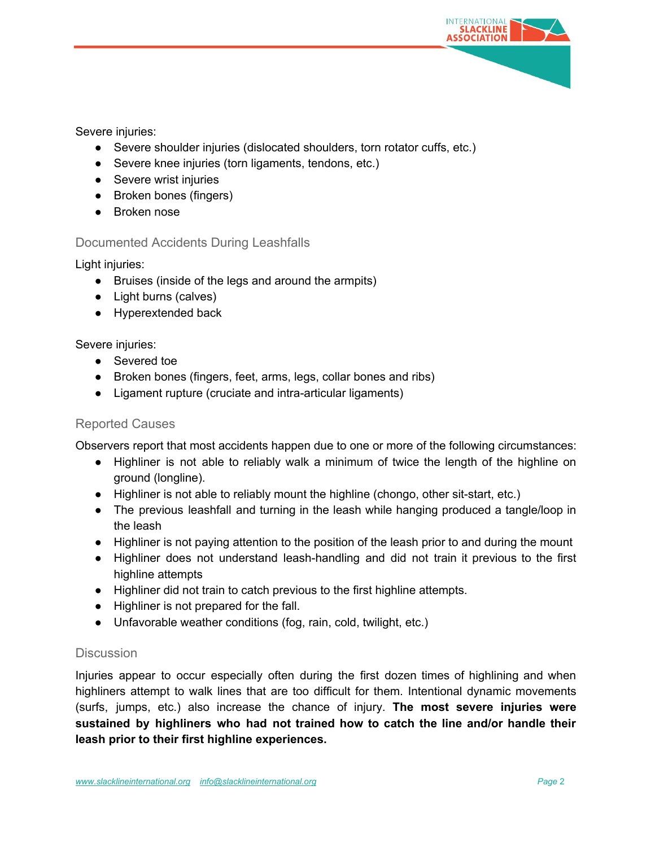

Severe injuries:

- Severe shoulder injuries (dislocated shoulders, torn rotator cuffs, etc.)
- Severe knee injuries (torn ligaments, tendons, etc.)
- Severe wrist injuries
- Broken bones (fingers)
- Broken nose

# Documented Accidents During Leashfalls

Light injuries:

- Bruises (inside of the legs and around the armpits)
- Light burns (calves)
- Hyperextended back

#### Severe injuries:

- Severed toe
- Broken bones (fingers, feet, arms, legs, collar bones and ribs)
- Ligament rupture (cruciate and intra-articular ligaments)

# Reported Causes

Observers report that most accidents happen due to one or more of the following circumstances:

- Highliner is not able to reliably walk a minimum of twice the length of the highline on ground (longline).
- Highliner is not able to reliably mount the highline (chongo, other sit-start, etc.)
- The previous leashfall and turning in the leash while hanging produced a tangle/loop in the leash
- Highliner is not paying attention to the position of the leash prior to and during the mount
- Highliner does not understand leash-handling and did not train it previous to the first highline attempts
- Highliner did not train to catch previous to the first highline attempts.
- Highliner is not prepared for the fall.
- Unfavorable weather conditions (fog, rain, cold, twilight, etc.)

# **Discussion**

Injuries appear to occur especially often during the first dozen times of highlining and when highliners attempt to walk lines that are too difficult for them. Intentional dynamic movements (surfs, jumps, etc.) also increase the chance of injury. **The most severe injuries were sustained by highliners who had not trained how to catch the line and/or handle their leash prior to their first highline experiences.**